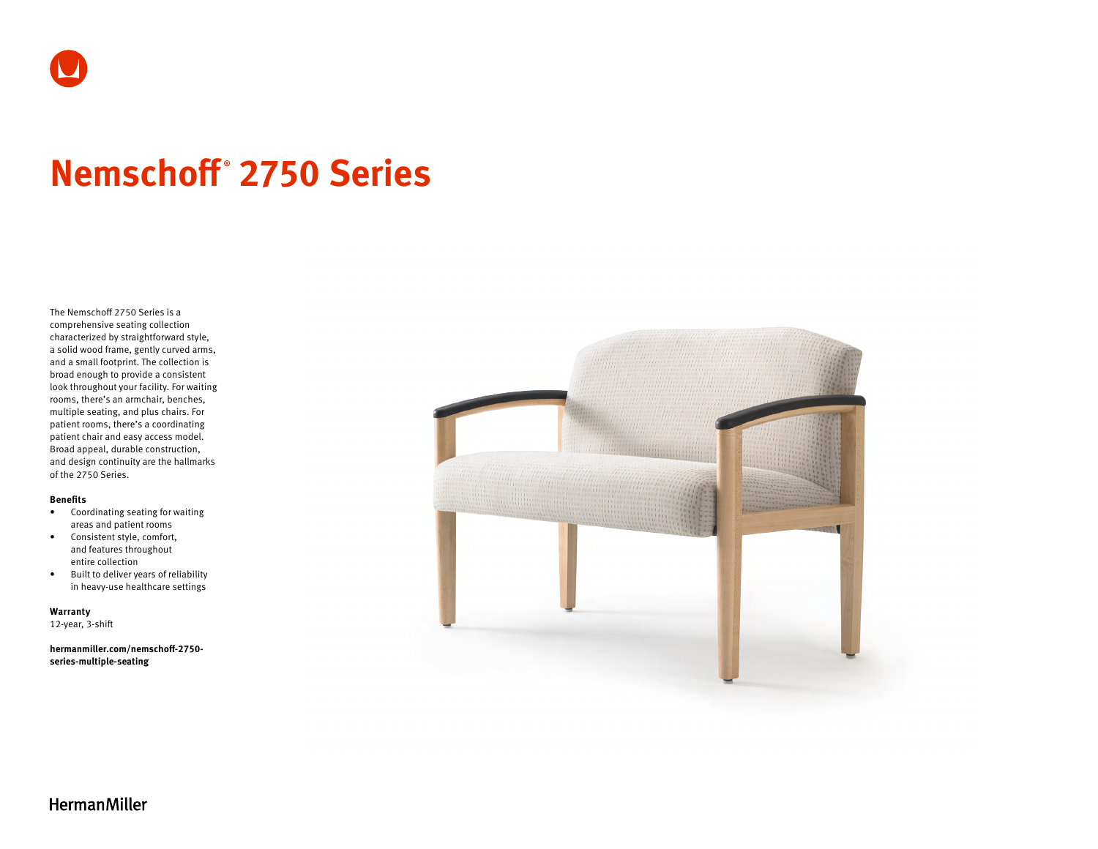

# **Nemschoff ® 2750 Series**

The Nemschoff 2750 Series is a comprehensive seating collection characterized by straightforward style, a solid wood frame, gently curved arms, and a small footprint. The collection is broad enough to provide a consistent look throughout your facility. For waiting rooms, there's an armchair, benches, multiple seating, and plus chairs. For patient rooms, there's a coordinating patient chair and easy access model. Broad appeal, durable construction, and design continuity are the hallmarks of the 2750 Series.

#### **Benefits**

- Coordinating seating for waiting areas and patient rooms
- Consistent style, comfort, and features throughout entire collection
- Built to deliver years of reliability in heavy-use healthcare settings

**Warranty** 

12-year, 3-shift

**[hermanmiller.com/nemschoff-2750](http://hermanmiller.com/nemschoff-2750-series-multiple-seating) [series-multiple-seating](http://hermanmiller.com/nemschoff-2750-series-multiple-seating)**